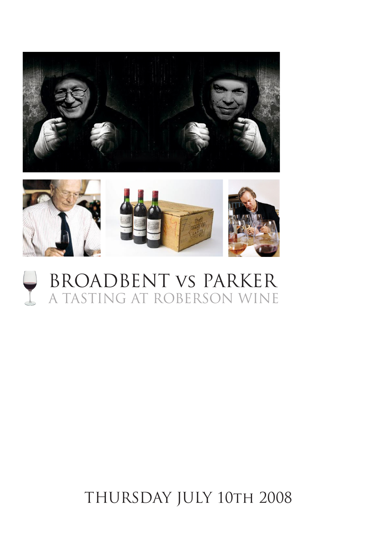

# BROADBENT vs PARKER A TASTING AT ROBERSON WINE

# THURSDAY JULY 10TH 2008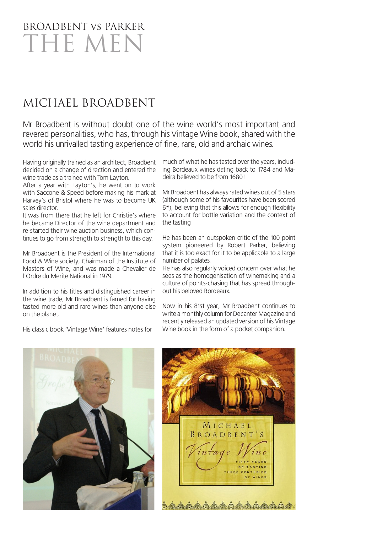# BROADBENT vs PARKER THE MEN

## MICHAEL BROADBENT

Mr Broadbent is without doubt one of the wine world's most important and revered personalities, who has, through his Vintage Wine book, shared with the world his unrivalled tasting experience of fine, rare, old and archaic wines.

Having originally trained as an architect, Broadbent decided on a change of direction and entered the wine trade as a trainee with Tom Layton.

After a year with Layton's, he went on to work with Saccone & Speed before making his mark at Harvey's of Bristol where he was to become UK sales director.

It was from there that he left for Christie's where he became Director of the wine department and re-started their wine auction business, which continues to go from strength to strength to this day.

Mr Broadbent is the President of the International Food & Wine society, Chairman of the Institute of Masters of Wine, and was made a Chevalier de l'Ordre du Merite National in 1979.

In addition to his titles and distinguished career in the wine trade, Mr Broadbent is famed for having tasted more old and rare wines than anyone else on the planet.

His classic book 'Vintage Wine' features notes for

much of what he has tasted over the years, including Bordeaux wines dating back to 1784 and Madeira believed to be from 1680!

Mr Broadbent has always rated wines out of 5 stars (although some of his favourites have been scored 6\*), believing that this allows for enough flexibility to account for bottle variation and the context of the tasting

He has been an outspoken critic of the 100 point system pioneered by Robert Parker, believing that it is too exact for it to be applicable to a large number of palates.

He has also regularly voiced concern over what he sees as the homogenisation of winemaking and a culture of points-chasing that has spread throughout his beloved Bordeaux.

Now in his 81st year, Mr Broadbent continues to write a monthly column for Decanter Magazine and recently released an updated version of his Vintage Wine book in the form of a pocket companion.



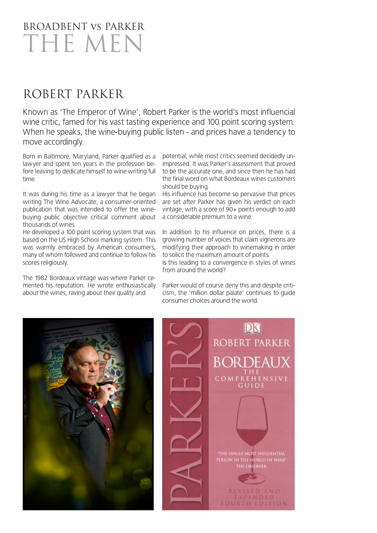# BROADBENT vs PARKER THE MEN

## ROBERT PARKER

Known as 'The Emperor of Wine', Robert Parker is the world's most influencial wine critic, famed for his vast tasting experience and 100 point scoring system. When he speaks, the wine-buying public listen - and prices have a tendency to move accordingly.

Born in Baltimore, Maryland, Parker qualified as a lawyer and spent ten years in the profession before leaving to dedicate himself to wine writing full time.

It was during his time as a lawyer that he began writing The Wine Advocate, a consumer-oriented publication that was intended to offer the winebuying public objective critical comment about thousands of wines.

He developed a 100 point scoring system that was based on the US High School marking system. This was warmly embraced by American consumers, many of whom followed and continue to follow his scores religiously.

The 1982 Bordeaux vintage was where Parker cemented his reputation. He wrote enthusiastically about the wines, raving about their quality and

potential, while most critics seemed decidedly unimpressed. It was Parker's assessment that proved to be the accurate one, and since then he has had the final word on what Bordeaux wines customers should be buying.

His influence has become so pervasive that prices are set after Parker has given his verdict on each vintage, with a score of 90+ points enough to add a considerable premium to a wine.

In addition to his influence on prices, there is a growing number of voices that claim vignerons are modifying their approach to winemaking in order to solicit the maximum amount of points. Is this leading to a convergence in styles of wines from around the world?

Parker would of course deny this and despite criticism, the 'million dollar palate' continues to guide consumer choices around the world.

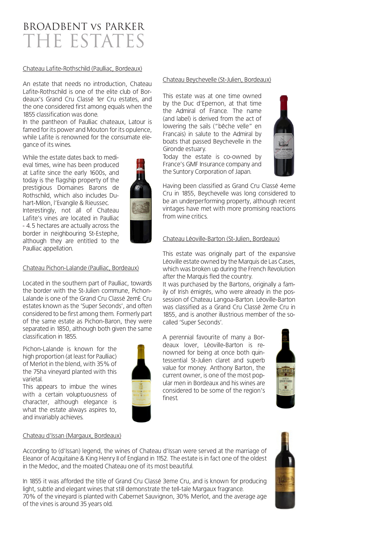## BROADBENT vs PARKER THE ESTATES

#### Chateau Lafite-Rothschild (Paulliac, Bordeaux)

An estate that needs no introduction, Chateau Lafite-Rothschild is one of the elite club of Bordeaux's Grand Cru Classé 1er Cru estates, and the one considered first among equals when the 1855 classification was done.

In the pantheon of Paulliac chateaux, Latour is famed for its power and Mouton for its opulence, while Lafite is renowned for the consumate elegance of its wines.

While the estate dates back to medieval times, wine has been produced at Lafite since the early 1600s, and today is the flagship property of the prestigious Domaines Barons de Rothschild, which also includes Duhart-Milon, l'Evangile & Rieussec. Interestingly, not all of Chateau Lafite's vines are located in Paulliac - 4.5 hectares are actually across the border in neighbouring St-Estephe, although they are entitled to the Paulliac appellation.



#### Chateau Pichon-Lalande (Paulliac, Bordeaux)

Located in the southern part of Paulliac, towards the border with the St-Julien commune, Pichon-Lalande is one of the Grand Cru Classé 2emE Cru estates known as the 'Super Seconds', and often considered to be first among them. Formerly part of the same estate as Pichon-Baron, they were separated in 1850, although both given the same classification in 1855.

Pichon-Lalande is known for the high proportion (at least for Paulliac) of Merlot in the blend, with 35% of the 75ha vineyard planted with this varietal.

This appears to imbue the wines with a certain voluptuousness of character, although elegance is what the estate always aspires to, and invariably achieves.



#### Chateau Beychevelle (St-Julien, Bordeaux)

This estate was at one time owned by the Duc d'Epernon, at that time the Admiral of France. The name (and label) is derived from the act of lowering the sails ("bêche velle" en Francais) in salute to the Admiral by boats that passed Beychevelle in the Gironde estuary.

Today the estate is co-owned by France's GMF Insurance company and the Suntory Corporation of Japan.



Having been classified as Grand Cru Classé 4eme Cru in 1855, Beychevelle was long considered to be an underperforming property, although recent vintages have met with more promising reactions from wine critics.

#### Chateau Léoville-Barton (St-Julien, Bordeaux)

This estate was originally part of the expansive Léoville estate owned by the Marquis de Las Cases, which was broken up during the French Revolution after the Marquis fled the country.

It was purchased by the Bartons, originally a family of Irish émigrés, who were already in the possession of Chateau Langoa-Barton. Léoville-Barton was classified as a Grand Cru Classé 2eme Cru in 1855, and is another illustrious member of the socalled 'Super Seconds'.

A perennial favourite of many a Bordeaux lover, Léoville-Barton is renowned for being at once both quintessential St-Julien claret and superb value for money. Anthony Barton, the current owner, is one of the most popular men in Bordeaux and his wines are considered to be some of the region's finest.



#### Chateau d'Issan (Margaux, Bordeaux)

According to (d'Issan) legend, the wines of Chateau d'Issan were served at the marriage of Eleanor of Acquitaine & King Henry II of England in 1152. The estate is in fact one of the oldest in the Medoc, and the moated Chateau one of its most beautiful.

In 1855 it was afforded the title of Grand Cru Classé 3eme Cru, and is known for producing light, subtle and elegant wines that still demonstrate the tell-tale Margaux fragrance. 70% of the vineyard is planted with Cabernet Sauvignon, 30% Merlot, and the average age of the vines is around 35 years old.

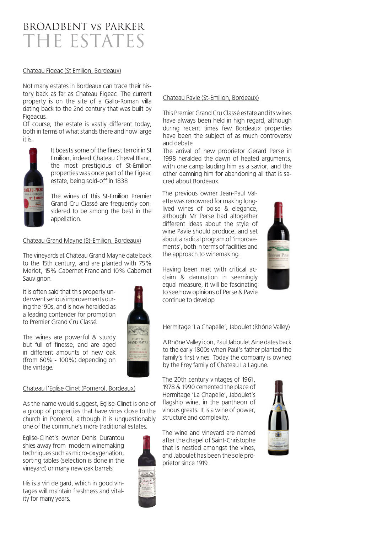## BROADBENT vs PARKER THE ESTATES

#### Chateau Figeac (St Emilion, Bordeaux)

Not many estates in Bordeaux can trace their history back as far as Chateau Figeac. The current property is on the site of a Gallo-Roman villa dating back to the 2nd century that was built by Figeacus.

Of course, the estate is vastly different today, both in terms of what stands there and how large it is.



It boasts some of the finest terroir in St Emilion, indeed Chateau Cheval Blanc, the most prestigious of St-Emilion properties was once part of the Figeac estate, being sold-off in 1838

The wines of this St-Emilion Premier Grand Cru Classé are frequently considered to be among the best in the appellation.

#### Chateau Grand Mayne (St-Emilion, Bordeaux)

The vineyards at Chateau Grand Mayne date back to the 15th century, and are planted with 75% Merlot, 15% Cabernet Franc and 10% Cabernet Sauvignon.

It is often said that this property underwent serious improvements during the '90s, and is now heralded as a leading contender for promotion to Premier Grand Cru Classé.

The wines are powerful & sturdy but full of finesse, and are aged in different amounts of new oak (from 60% - 100%) depending on the vintage.



#### Chateau l'Eglise Clinet (Pomerol, Bordeaux)

As the name would suggest, Eglise-Clinet is one of a group of properties that have vines close to the church in Pomerol, although it is unquestionably one of the commune's more traditional estates.

Eglise-Clinet's owner Denis Durantou shies away from modern winemaking techniques such as micro-oxygenation, sorting tables (selection is done in the vineyard) or many new oak barrels.

His is a vin de gard, which in good vintages will maintain freshness and vitality for many years.

#### Chateau Pavie (St-Emilion, Bordeaux)

This Premier Grand Cru Classé estate and its wines have always been held in high regard, although during recent times few Bordeaux properties have been the subject of as much controversy and debate.

The arrival of new proprietor Gerard Perse in 1998 heralded the dawn of heated arguments, with one camp lauding him as a savior, and the other damning him for abandoning all that is sacred about Bordeaux.

The previous owner Jean-Paul Valette was renowned for making longlived wines of poise & elegance, although Mr Perse had altogether different ideas about the style of wine Pavie should produce, and set about a radical program of 'improvements', both in terms of facilities and the approach to winemaking.

Having been met with critical acclaim & damnation in seemingly equal measure, it will be fascinating to see how opinions of Perse & Pavie continue to develop.

#### Hermitage 'La Chapelle'; Jaboulet (Rhône Valley)

A Rhône Valley icon, Paul Jaboulet Aine dates back to the early 1800s when Paul's father planted the family's first vines. Today the company is owned by the Frey family of Chateau La Lagune.

The 20th century vintages of 1961, 1978 & 1990 cemented the place of Hermitage 'La Chapelle', Jaboulet's flagship wine, in the pantheon of vinous greats. It is a wine of power, structure and complexity.

The wine and vineyard are named after the chapel of Saint-Christophe that is nestled amongst the vines, and Jaboulet has been the sole proprietor since 1919.



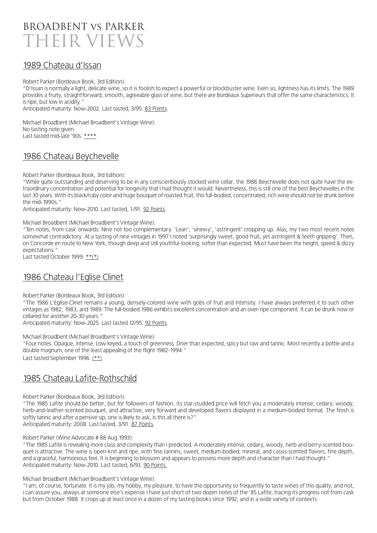

### 1989 Chateau d'Issan

Robert Parker (Bordeaux Book, 3rd Edition):

"D'Issan is normally a light, delicate wine, so it is foolish to expect a powerful or blockbuster wine. Even so, lightness has its limits. The 1989 provides a fruity, straightforward, smooth, agreeable glass of wine, but there are Bordeaux Superieurs that offer the same characteristics. It is ripe, but low in acidity."

Anticipated maturity: Now-2002. Last tasted, 3/95. 83 Points.

Michael Broadbent (Michael Broadbent's Vintage Wine): No tasting note given. Last tasted mid-late '90s. \*\*\*\*

### 1986 Chateau Beychevelle

Robert Parker (Bordeaux Book, 3rd Edition):

"While quite outstanding and deserving to be in any conscientiously stocked wine cellar, the 1986 Beychevelle does not quite have the extraordinary concentration and potential for longevity that I had thought it would. Nevertheless, this is still one of the best Beychevelles in the last 30 years. With its black/ruby color and huge bouquet of roasted fruit, this full-bodied, concentrated, rich wine should not be drunk before the mid-1990s."

Anticipated maturity: Now-2010. Last tasted, 1/91. 92 Points.

#### Michael Broadbent (Michael Broadbent's Vintage Wine):

"Ten notes, from cask onwards. Nine not too complementary. 'Lean', 'sinewy', 'astringent' cropping up. Alas, my two most recent notes somewhat contradictory. At a tasting of nine vintages in 1997 I noted 'surprisingly sweet, good fruit, yet astringent & teeth gripping'. Then, on Concorde en route to New York, though deep and still youthful-looking, softer than expected. Must have been the height, speed & dizzy expectations."

Last tasted October 1999.  $**(*)$ 

## 1986 Chateau l'Eglise Clinet

Robert Parker (Bordeaux Book, 3rd Edition):

"The 1986 L'Eglise-Clinet remains a young, densely-colored wine with gobs of fruit and intensity. I have always preferred it to such other vintages as 1982, 1983, and 1989. The full-bodied 1986 exhibits excellent concentration and an over-ripe component. It can be drunk now or cellared for another 20-30 years."

Anticipated maturity: Now-2025. Last tasted 12/95. 92 Points.

Michael Broadbent (Michael Broadbent's Vintage Wine):

"Four notes. Opaque, intense. Low keyed, a touch of greenness. Drier than expected, spicy but raw and tannic. Most recently a bottle and a double magnum, one of the least appealing of the flight 1982-1994."

Last tasted September 1996. (\*\*)

### 1985 Chateau Lafite-Rothschild

Robert Parker (Bordeaux Book, 3rd Edition):

"The 1985 Lafite should be better, but for followers of fashion, its star-studded price will fetch you a moderately intense, cedary, woody, herb-and-leather-scented bouquet, and attractive, very forward and developed flavors displayed in a medium-bodied format. The finish is softly tannic and after a pensive sip, one is likely to ask, Is this all there is?" Anticipated maturity: 2008. Last tasted, 3/91. 87 Points.

Robert Parker (Wine Advocate # 88 Aug 1993):

"The 1985 Lafite is revealing more class and complexity than I predicted. A moderately intense, cedary, woody, herb and berry-scented bouquet is attractive. The wine is open-knit and ripe, with fine tannins, sweet, medium-bodied, mineral, and cassis-scented flavors, fine depth, and a graceful, harmonious feel. It is beginning to blossom and appears to possess more depth and character than I had thought." Anticipated maturity: Now-2010. Last tasted, 6/93. 90 Points.

Michael Broadbent (Michael Broadbent's Vintage Wine):

"I am, of course, fortunate. It is my job, my hobby, my pleasure, to have the opportunity so frequently to taste wines of this quality, and not, i can assure you, always at someone else's expense.I have just short of two dozen notes of the '85 Lafite, tracing its progress not from cask but from October 1988. It crops up at least once in a dozen of my tasting books since 1992, and in a wide variety of contexts.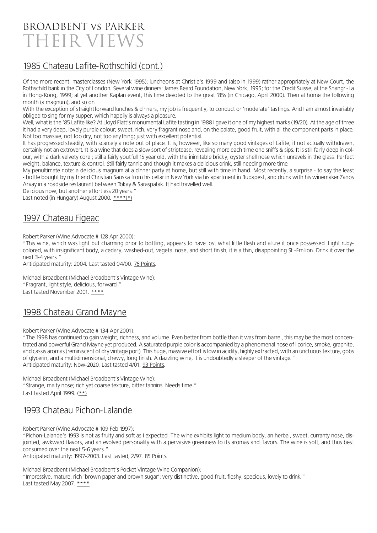## BROADBENT vs PARKER THEIR VIEWS

## 1985 Chateau Lafite-Rothschild (cont.)

Of the more recent: masterclasses (New York 1995); luncheons at Christie's 1999 and (also in 1999) rather appropriately at New Court, the Rothschild bank in the City of London. Several wine dinners: James Beard Foundation, New York, 1995; for the Credit Suisse, at the Shangri-La in Hong-Kong, 1999; at yet another Kaplan event, this time devoted to the great '85s (in Chicago, April 2000). Then at home the following month (a magnum), and so on.

With the exception of straightforward lunches & dinners, my job is frequently, to conduct or 'moderate' tastings. And I am almost invariably obliged to sing for my supper, which happily is always a pleasure.

Well, what is the '85 Lafite like? At Lloyd Flatt's monumental Lafite tasting in 1988 I gave it one of my highest marks (19/20). At the age of three it had a very deep, lovely purple colour; sweet, rich, very fragrant nose and, on the palate, good fruit, with all the component parts in place. Not too massive, not too dry, not too anything; just with excellent potential.

It has progressed steadily, with scarcely a note out of place. It is, however, like so many good vintages of Lafite, if not actually withdrawn, certainly not an extrovert. It is a wine that does a slow sort of striptease, revealing more each time one sniffs & sips. It is still fairly deep in colour, with a dark velvety core ; still a fairly youtfull 15 year old, with the inimitable bricky, oyster shell nose which unravels in the glass. Perfect weight, balance, texture & control. Still fairly tannic and though it makes a delicious drink, still needing more time.

My penultimate note: a delicious magnum at a dinner party at home, but still with time in hand. Most recently, a surprise - to say the least - bottle bought by my friend Christian Sauska from his cellar in New York via his apartment in Budapest, and drunk with his winemaker Zanos Arvay in a roadside restaurant between Tokay & Saraspatak. It had travelled well.

Delicious now, but another effortless 20 years." Last noted (in Hungary) August 2000. \*\*\*\*(\*)

### 1997 Chateau Figeac

Robert Parker (Wine Advocate # 128 Apr 2000):

"This wine, which was light but charming prior to bottling, appears to have lost what little flesh and allure it once possessed. Light rubycolored, with insignificant body, a cedary, washed-out, vegetal nose, and short finish, it is a thin, disappointing St.-Emilion. Drink it over the next 3-4 years."

Anticipated maturity: 2004. Last tasted 04/00. 76 Points.

Michael Broadbent (Michael Broadbent's Vintage Wine): "Fragrant, light style, delicious, forward." Last tasted November 2001. \*\*\*\*

## 1998 Chateau Grand Mayne

Robert Parker (Wine Advocate # 134 Apr 2001):

"The 1998 has continued to gain weight, richness, and volume. Even better from bottle than it was from barrel, this may be the most concentrated and powerful Grand Mayne yet produced. A saturated purple color is accompanied by a phenomenal nose of licorice, smoke, graphite, and cassis aromas (reminiscent of dry vintage port). This huge, massive effort is low in acidity, highly extracted, with an unctuous texture, gobs of glycerin, and a multidimensional, chewy, long finish. A dazzling wine, it is undoubtedly a sleeper of the vintage." Anticipated maturity: Now-2020. Last tasted 4/01. 93 Points.

Michael Broadbent (Michael Broadbent's Vintage Wine): "Strange, malty nose; rich yet coarse texture, bitter tannins. Needs time." Last tasted April 1999. (\*\*)

## 1993 Chateau Pichon-Lalande

Robert Parker (Wine Advocate # 109 Feb 1997):

"Pichon-Lalande's 1993 is not as fruity and soft as I expected. The wine exhibits light to medium body, an herbal, sweet, curranty nose, disjointed, awkward flavors, and an evolved personality with a pervasive greenness to its aromas and flavors. The wine is soft, and thus best consumed over the next 5-6 years."

Anticipated maturity: 1997-2003. Last tasted, 2/97. 85 Points.

Michael Broadbent (Michael Broadbent's Pocket Vintage Wine Companion): "Impressive, mature; rich 'brown paper and brown sugar'; very distinctive, good fruit, fleshy, specious, lovely to drink." Last tasted May 2007. \*\*\*\*